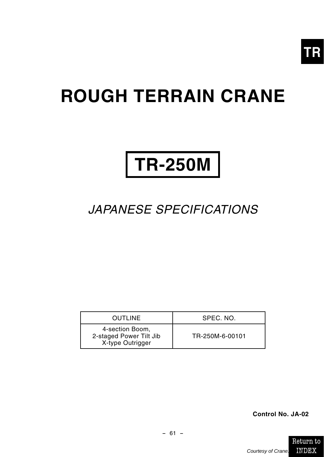

## **ROUGH TERRAIN CRANE**

# **TR-250M**

## JAPANESE SPECIFICATIONS

| <b>OUTLINE</b>                                                 | SPEC. NO.       |
|----------------------------------------------------------------|-----------------|
| 4-section Boom,<br>2-staged Power Tilt Jib<br>X-type Outrigger | TR-250M-6-00101 |

**Control No. JA-02**

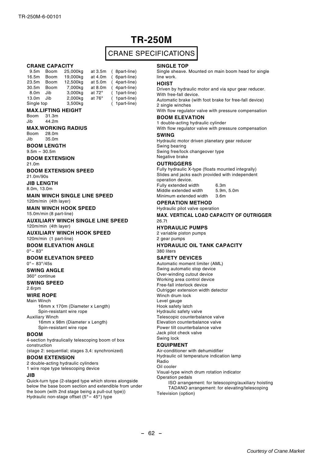## **TR-250M**

## CRANE SPECIFICATIONS

8part-line) .<br>6part-line)  $4$ part-line) 4part-line) 1part-line) 1<sub>part-line</sub>) 1part-line)

#### **CRANE CAPACITY**

| 9.5 <sub>m</sub> | Boom | 25,000kg | at 3.5m       |  |
|------------------|------|----------|---------------|--|
| 16.5m            | Boom | 19,000kg | at 4.0m       |  |
| 23.5m            | Boom | 12.500kg | at 5.0m       |  |
| 30.5m            | Boom | 7,000kg  | at 8.0m       |  |
| 8.0m             | Jib  | 3.000kg  | at $72^\circ$ |  |
| 13.0m            | Jib  | 2,000kg  | at 76°        |  |
| Single top       |      | 3,500kg  |               |  |

#### **MAX.LIFTING HEIGHT**

Boom 31.3m  $Jih$   $44.2m$ 

#### **MAX.WORKING RADIUS**

Boom 28.0m<br>Jib 35.0m 35.0m

**BOOM LENGTH**

 $9.5m - 30.5m$ 

**BOOM EXTENSION**

21.0m

**BOOM EXTENSION SPEED**

21.0m/90s

**JIB LENGTH**

8.0m, 13.0m

**MAIN WINCH SINGLE LINE SPEED** 120m/min (4th layer)

**MAIN WINCH HOOK SPEED** 15.0m/min (8 part-line)

#### **AUXILIARY WINCH SINGLE LINE SPEED** 120m/min (4th layer)

**AUXILIARY WINCH HOOK SPEED** 120m/min (1 part-line)

#### **BOOM ELEVATION ANGLE**

<sup>0</sup>°- <sup>83</sup>°

#### **BOOM ELEVATION SPEED**

 $0^{\circ} - 83^{\circ}/45s$ **SWING ANGLE**

#### 360° continue

**SWING SPEED**

#### 2.6rpm

**WIRE ROPE**

Main Winch 16mm x 170m (Diameter x Length) Spin-resistant wire rope

Auxiliary Winch

16mm x 98m (Diameter x Length) Spin-resistant wire rope

#### **BOOM**

4-section hydraulically telescoping boom of box construction

(stage 2: sequential; stages 3,4: synchronized)

#### **BOOM EXTENSION**

2 double-acting hydraulic cylinders 1 wire rope type telescoping device

#### **JIB**

Quick-turn type (2-staged type which stores alongside below the base boom section and extendible from under the boom (with 2nd stage being a pull-out type)) Hydraulic non-stage offset (5° – 45°) type

#### **SINGLE TOP**

Single sheave. Mounted on main boom head for single line work.

#### **HOIST**

Driven by hydraulic motor and via spur gear reducer. With free-fall device.

Automatic brake (with foot brake for free-fall device) 2 single winches

With flow regulator valve with pressure compensation

#### **BOOM ELEVATION**

1 double-acting hydraulic cylinder With flow regulator valve with pressure compensation

**SWING**

Hydraulic motor driven planetary gear reducer Swing bearing Swing free/lock changeover type Negative brake

#### **OUTRIGGERS**

Fully hydraulic X-type (floats mounted integrally) Slides and jacks each provided with independent operation device. Fully extended width 6.3m<br>Middle extended width 5.9m 5.0m Middle extended width

Minimum extended width 3.6m

#### **OPERATION METHOD**

Hydraulic pilot valve operation **MAX. VERTICAL LOAD CAPACITY OF OUTRIGGER** 26.7t

#### **HYDRAULIC PUMPS**

2 variable piston pumps 2 gear pumps

#### **HYDRAULIC OIL TANK CAPACITY** 380 liters

#### **SAFETY DEVICES**

Automatic moment limiter (AML) Swing automatic stop device Over-winding cutout device Working area control device Free-fall interlock device Outrigger extension width detector Winch drum lock Level gauge Hook safety latch Hydraulic safety valve Telescopic counterbalance valve Elevation counterbalance valve Power tilt counterbalance valve Jack pilot check valve Swing lock

#### **EQUIPMENT**

Air-conditioner with dehumidifier Hydraulic oil temperature indication lamp Radio

Oil cooler

Visual-type winch drum rotation indicator Operation pedals

ISO arrangement: for telescoping/auxiliary hoisting TADANO arrangement: for elevating/telescoping Television (option)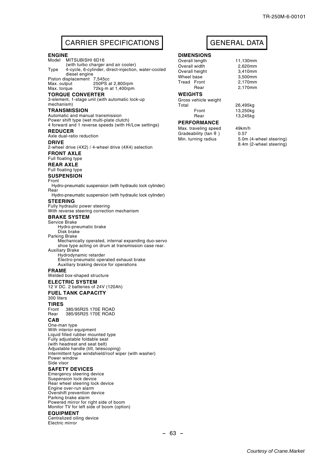## CARRIER SPECIFICATIONS | GENERAL DATA

#### **ENGINE**

Model MITSUBISHI 6D16 (with turbo charger and air cooler) Type 4-cycle, 6-cylinder, direct-injection, water-cooled diesel engine Piston displacement 7,545cc<br>Max. output 250PS a Max. output 250PS at 2,800rpm<br>Max. torque 72kg m at 1,400rpm  $72$ kg $\cdot$ m at 1,400rpm **TORQUE CONVERTER** 3-element, 1-stage unit (with automatic lock-up mechanism) **TRANSMISSION** Automatic and manual transmission Power shift type (wet multi-plate clutch) 4 forward and 1 reverse speeds (with Hi/Low settings) **REDUCER** Axle dual-ratio reduction **DRIVE** 2-wheel drive (4X2) / 4-wheel drive (4X4) selection **FRONT AXLE** Full floating type **REAR AXLE** Full floating type **SUSPENSION** Front Hydro-pneumatic suspension (with hydraulic lock cylinder) Rear Hydro-pneumatic suspension (with hydraulic lock cylinder) **STEERING** Fully hydraulic power steering With reverse steering correction mechanism **BRAKE SYSTEM** Service Brake Hydro-pneumatic brake Disk brake Parking Brake Mechanically operated, internal expanding duo-servo shoe type acting on drum at transmission case rear. Auxiliary Brake Hydrodynamic retarder Electro-pneumatic operated exhaust brake Auxiliary braking device for operations **FRAME** Welded box-shaped structure **ELECTRIC SYSTEM** 12 V DC. 2 batteries of 24V (120Ah) **FUEL TANK CAPACITY** 300 liters **TIRES** Front 385/95R25 170E ROAD<br>Rear 385/95R25 170E ROAD Rear 385/95R25 170E ROAD **CAB** One-man type With interior equipment Liquid filled rubber mounted type Fully adjustable foldable seat (with headrest and seat belt) Adjustable handle (tilt, telescoping) Intermittent type windshield/roof wiper (with washer) Power window Side visor **SAFETY DEVICES** Emergency steering device Suspension lock device Rear wheel steering lock device

Engine over-run alarm Overshift prevention device Parking brake alarm Powered mirror for right side of boom Monitor TV for left side of boom (option)

#### **EQUIPMENT**

Centralized oiling device Electric mirror

#### **DIMENSIONS**

Overall length 11,130mm<br>
Overall width 2620mm Overall width

Overall height 3,410mm<br>Wheel base 3,500mm Wheel base 3,500mm<br>Tread Front 2.170mm Tread Front

### **WEIGHTS**

Gross vehicle weight Total 26,495kg<br>Front 13.250kg Front 13,250kg

#### **PERFORMANCE**

Max. traveling speed 49km/h<br>Gradeability (tan A) 0.57 Gradeability (tan θ)

Rear 2,170mm

13,245kg

Min. turning radius 5.0m (4-wheel steering) 8.4m (2-wheel steering)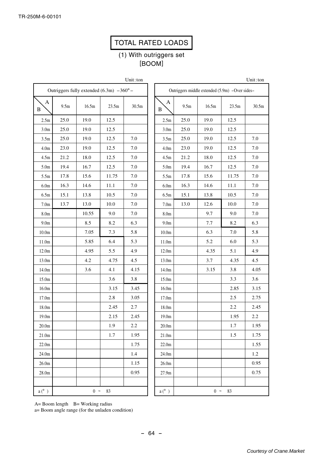## TOTAL RATED LOADS

## (1) With outriggers set [BOOM]

Unit:ton

Unit:ton

| Outriggers fully extended $(6.3m) -360^{\circ}$ - |                                                |       |       |       |  |  |  |  |  |  |
|---------------------------------------------------|------------------------------------------------|-------|-------|-------|--|--|--|--|--|--|
| $\overline{A}$<br>B                               | 9.5m                                           | 16.5m | 23.5m | 30.5m |  |  |  |  |  |  |
| 2.5m                                              | 25.0                                           | 19.0  | 12.5  |       |  |  |  |  |  |  |
| 3.0 <sub>m</sub>                                  | 25.0                                           | 19.0  | 12.5  |       |  |  |  |  |  |  |
| 3.5m                                              | 25.0                                           | 19.0  | 12.5  | 7.0   |  |  |  |  |  |  |
| 4.0 <sub>m</sub>                                  | 23.0                                           | 19.0  | 12.5  | 7.0   |  |  |  |  |  |  |
| 4.5m                                              | 21.2                                           | 18.0  | 12.5  | 7.0   |  |  |  |  |  |  |
| 5.0 <sub>m</sub>                                  | 19.4                                           | 16.7  | 12.5  | 7.0   |  |  |  |  |  |  |
| 5.5m                                              | 17.8                                           | 15.6  | 11.75 | 7.0   |  |  |  |  |  |  |
| 6.0 <sub>m</sub>                                  | 16.3                                           | 14.6  | 11.1  | 7.0   |  |  |  |  |  |  |
| 6.5m                                              | 15.1                                           | 13.8  | 10.5  | 7.0   |  |  |  |  |  |  |
| 7.0 <sub>m</sub>                                  | 13.7                                           | 13.0  | 10.0  | 7.0   |  |  |  |  |  |  |
| 8.0 <sub>m</sub>                                  |                                                | 10.55 | 9.0   | 7.0   |  |  |  |  |  |  |
| 9.0 <sub>m</sub>                                  |                                                | 8.5   | 8.2   | 6.3   |  |  |  |  |  |  |
| 10.0 <sub>m</sub>                                 |                                                | 7.05  | 7.3   | 5.8   |  |  |  |  |  |  |
| 11.0 <sub>m</sub>                                 |                                                | 5.85  | 6.4   | 5.3   |  |  |  |  |  |  |
| 12.0m                                             |                                                | 4.95  | 5.5   | 4.9   |  |  |  |  |  |  |
| 13.0m                                             |                                                | 4.2   | 4.75  | 4.5   |  |  |  |  |  |  |
| 14.0m                                             |                                                | 3.6   | 4.1   | 4.15  |  |  |  |  |  |  |
| 15.0m                                             |                                                |       | 3.6   | 3.8   |  |  |  |  |  |  |
| 16.0m                                             |                                                |       | 3.15  | 3.45  |  |  |  |  |  |  |
| 17.0m                                             |                                                |       | 2.8   | 3.05  |  |  |  |  |  |  |
| 18.0m                                             |                                                |       | 2.45  | 2.7   |  |  |  |  |  |  |
| 19.0m                                             |                                                |       | 2.15  | 2.45  |  |  |  |  |  |  |
| 20.0 <sub>m</sub>                                 |                                                |       | 1.9   | 2.2   |  |  |  |  |  |  |
| 21.0 <sub>m</sub>                                 |                                                |       | 1.7   | 1.95  |  |  |  |  |  |  |
| 22.0 <sub>m</sub>                                 |                                                |       |       | 1.75  |  |  |  |  |  |  |
| 24.0m                                             |                                                |       |       | 1.4   |  |  |  |  |  |  |
| 26.0 <sub>m</sub>                                 |                                                |       |       | 1.15  |  |  |  |  |  |  |
| 28.0m                                             |                                                |       |       | 0.95  |  |  |  |  |  |  |
|                                                   |                                                |       |       |       |  |  |  |  |  |  |
| $a(^{\circ})$                                     | $\boldsymbol{0}$<br>$\ddot{\phantom{0}}$<br>83 |       |       |       |  |  |  |  |  |  |

|                   |      | Outriggers middle extended (5.9m) – Over sides– |       |       |  |  |  |  |  |
|-------------------|------|-------------------------------------------------|-------|-------|--|--|--|--|--|
| A<br>B            | 9.5m | 16.5m                                           | 23.5m | 30.5m |  |  |  |  |  |
| 2.5m              | 25.0 | 19.0                                            | 12.5  |       |  |  |  |  |  |
| 3.0 <sub>m</sub>  | 25.0 | 19.0                                            | 12.5  |       |  |  |  |  |  |
| 3.5m              | 25.0 | 19.0                                            | 12.5  | 7.0   |  |  |  |  |  |
| 4.0 <sub>m</sub>  | 23.0 | 19.0                                            | 12.5  | 7.0   |  |  |  |  |  |
| 4.5m              | 21.2 | 18.0                                            | 12.5  | 7.0   |  |  |  |  |  |
| 5.0 <sub>m</sub>  | 19.4 | 16.7                                            | 12.5  | 7.0   |  |  |  |  |  |
| 5.5m              | 17.8 | 15.6                                            | 11.75 | 7.0   |  |  |  |  |  |
| 6.0 <sub>m</sub>  | 16.3 | 14.6                                            | 11.1  | 7.0   |  |  |  |  |  |
| 6.5m              | 15.1 | 13.8                                            | 10.5  | 7.0   |  |  |  |  |  |
| 7.0 <sub>m</sub>  | 13.0 | 12.6                                            | 10.0  | 7.0   |  |  |  |  |  |
| 8.0 <sub>m</sub>  |      | 9.7                                             | 9.0   | 7.0   |  |  |  |  |  |
| 9.0 <sub>m</sub>  |      | 7.7                                             | 8.2   | 6.3   |  |  |  |  |  |
| 10.0 <sub>m</sub> |      | 6.3                                             | 7.0   | 5.8   |  |  |  |  |  |
| 11.0m             |      | 5.2                                             | 6.0   | 5.3   |  |  |  |  |  |
| 12.0m             |      | 4.35                                            | 5.1   | 4.9   |  |  |  |  |  |
| 13.0m             |      | 3.7                                             | 4.35  | 4.5   |  |  |  |  |  |
| 14.0m             |      | 3.15                                            | 3.8   | 4.05  |  |  |  |  |  |
| 15.0m             |      |                                                 | 3.3   | 3.6   |  |  |  |  |  |
| 16.0 <sub>m</sub> |      |                                                 | 2.85  | 3.15  |  |  |  |  |  |
| 17.0m             |      |                                                 | 2.5   | 2.75  |  |  |  |  |  |
| 18.0m             |      |                                                 | 2.2   | 2.45  |  |  |  |  |  |
| 19.0m             |      |                                                 | 1.95  | 2.2   |  |  |  |  |  |
| 20.0 <sub>m</sub> |      |                                                 | 1.7   | 1.95  |  |  |  |  |  |
| 21.0 <sub>m</sub> |      |                                                 | 1.5   | 1.75  |  |  |  |  |  |
| 22.0 <sub>m</sub> |      |                                                 |       | 1.55  |  |  |  |  |  |
| 24.0m             |      |                                                 |       | 1.2   |  |  |  |  |  |
| 26.0 <sub>m</sub> |      |                                                 |       | 0.95  |  |  |  |  |  |
| 27.9m             |      |                                                 |       | 0.75  |  |  |  |  |  |
|                   |      |                                                 |       |       |  |  |  |  |  |
| $a(^{\circ})$     |      | $\boldsymbol{0}$<br>$\ddot{\phantom{0}}$        | 83    |       |  |  |  |  |  |

A= Boom length B= Working radius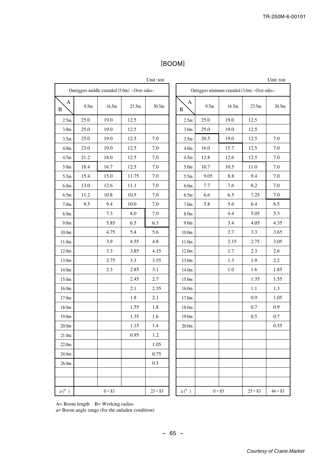## [BOOM]

|                   |      |                                                |       | Unit:ton  |
|-------------------|------|------------------------------------------------|-------|-----------|
|                   |      | Outriggers middle extended (5.0m) -Over sides- |       |           |
| A<br>B            | 9.5m | 16.5m                                          | 23.5m | 30.5m     |
| 2.5m              | 25.0 | 19.0                                           | 12.5  |           |
| 3.0 <sub>m</sub>  | 25.0 | 19.0                                           | 12.5  |           |
| 3.5m              | 25.0 | 19.0                                           | 12.5  | 7.0       |
| 4.0 <sub>m</sub>  | 23.0 | 19.0                                           | 12.5  | 7.0       |
| 4.5m              | 21.2 | 18.0                                           | 12.5  | 7.0       |
| 5.0 <sub>m</sub>  | 18.4 | 16.7                                           | 12.5  | 7.0       |
| 5.5m              | 15.4 | 15.0                                           | 11.75 | 7.0       |
| 6.0 <sub>m</sub>  | 13.0 | 12.6                                           | 11.1  | 7.0       |
| 6.5m              | 11.2 | 10.8                                           | 10.5  | $7.0\,$   |
| 7.0 <sub>m</sub>  | 9.5  | 9.4                                            | 10.0  | 7.0       |
| 8.0 <sub>m</sub>  |      | 7.3                                            | 8.0   | 7.0       |
| 9.0 <sub>m</sub>  |      | 5.85                                           | 6.5   | 6.3       |
| 10.0 <sub>m</sub> |      | 4.75                                           | 5.4   | 5.6       |
| 11.0m             |      | 3.9                                            | 4.55  | 4.8       |
| 12.0m             |      | 3.3                                            | 3.85  | 4.15      |
| 13.0m             |      | 2.75                                           | 3.3   | 3.55      |
| 14.0m             |      | 2.3                                            | 2.85  | 3.1       |
| 15.0m             |      |                                                | 2.45  | 2.7       |
| 16.0 <sub>m</sub> |      |                                                | 2.1   | 2.35      |
| 17.0m             |      |                                                | 1.8   | 2.1       |
| 18.0m             |      |                                                | 1.55  | 1.8       |
| 19.0m             |      |                                                | 1.35  | 1.6       |
| 20.0 <sub>m</sub> |      |                                                | 1.15  | 1.4       |
| 21.0 <sub>m</sub> |      |                                                | 0.95  | 1.2       |
| 22.0 <sub>m</sub> |      |                                                |       | 1.05      |
| 24.0m             |      |                                                |       | 0.75      |
| 26.0 <sub>m</sub> |      |                                                |       | 0.5       |
|                   |      |                                                |       |           |
|                   |      |                                                |       |           |
| $a(^{\circ})$     |      | $0 - 83$                                       |       | $23 - 83$ |

|                   |          |                                                 |           | Unit: ton |  |
|-------------------|----------|-------------------------------------------------|-----------|-----------|--|
|                   |          | Outriggers minimum extended (3.6m) -Over sides- |           |           |  |
| A<br>B            | 9.5m     | 16.5m                                           | 23.5m     | 30.5m     |  |
| 2.5 <sub>m</sub>  | 25.0     | 19.0                                            | 12.5      |           |  |
| 3.0 <sub>m</sub>  | 25.0     | 19.0                                            | 12.5      |           |  |
| 3.5m              | 20.5     | 19.0                                            | 12.5      | 7.0       |  |
| 4.0 <sub>m</sub>  | 16.0     | 15.7                                            | 12.5      | 7.0       |  |
| 4.5m              | 12.8     | 12.6                                            | 12.5      | 7.0       |  |
| 5.0 <sub>m</sub>  | 10.7     | 10.5                                            | 11.0      | 7.0       |  |
| 5.5m              | 9.05     | 8.8                                             | 9.4       | 7.0       |  |
| 6.0 <sub>m</sub>  | 7.7      | 7.6                                             | 8.2       | 7.0       |  |
| 6.5m              | 6.6      | 6.5                                             | 7.25      | 7.0       |  |
| 7.0 <sub>m</sub>  | 5.8      | 5.6                                             | 6.4       | 6.5       |  |
| 8.0 <sub>m</sub>  |          | 4.4                                             | 5.05      | 5.3       |  |
| 9.0 <sub>m</sub>  |          | 3.4                                             | 4.05      | 4.35      |  |
| 10.0 <sub>m</sub> |          | 2.7                                             | 3.3       | 3.65      |  |
| 11.0m             |          | 2.15                                            | 2.75      | 3.05      |  |
| 12.0m             |          | 1.7                                             | 2.3       | 2.6       |  |
| 13.0m             |          | 1.3                                             | 1.9       | 2.2       |  |
| 14.0m             |          | 1.0                                             | 1.6       | 1.85      |  |
| 15.0m             |          |                                                 | 1.35      | 1.55      |  |
| 16.0 <sub>m</sub> |          |                                                 | 1.1       | 1.3       |  |
| 17.0m             |          |                                                 | 0.9       | 1.05      |  |
| 18.0m             |          |                                                 | 0.7       | 0.9       |  |
| 19.0m             |          |                                                 | 0.5       | 0.7       |  |
| 20.0 <sub>m</sub> |          |                                                 |           | 0.55      |  |
|                   |          |                                                 |           |           |  |
|                   |          |                                                 |           |           |  |
|                   |          |                                                 |           |           |  |
|                   |          |                                                 |           |           |  |
|                   |          |                                                 |           |           |  |
|                   |          |                                                 |           |           |  |
| $a(^{\circ})$     | $0 - 83$ |                                                 | $25 - 83$ | $44 - 83$ |  |

A= Boom length B= Working radius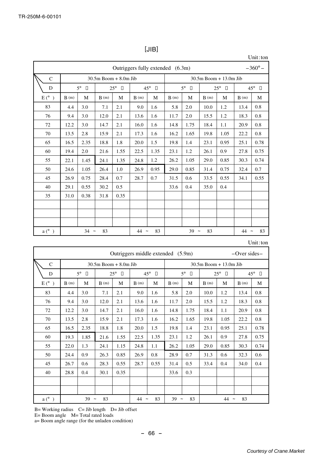|               | $-360^{\circ}$ –<br>Outriggers fully extended (6.3m) |                     |                          |                        |        |                     |      |                     |                          |                        |      |                     |
|---------------|------------------------------------------------------|---------------------|--------------------------|------------------------|--------|---------------------|------|---------------------|--------------------------|------------------------|------|---------------------|
| $\mathcal{C}$ |                                                      |                     | $30.5m$ Boom $+8.0m$ Jib |                        |        |                     |      |                     | $30.5m$ Boom + 13.0m Jib |                        |      |                     |
| D             |                                                      | $5^\circ$<br>$\Box$ |                          | $25^{\circ}$<br>$\Box$ |        | $45^{\circ}$ $\Box$ |      | $5^\circ$<br>$\Box$ |                          | $25^{\circ}$<br>$\Box$ |      | $45^{\circ}$ $\Box$ |
| $E(^{\circ})$ | B(m)                                                 | M                   | B(m)                     | M                      | B(m)   | M                   | B(m) | M                   | B(m)                     | M                      | B(m) | M                   |
| 83            | 4.4                                                  | 3.0                 | 7.1                      | 2.1                    | 9.0    | 1.6                 | 5.8  | 2.0                 | 10.0                     | 1.2                    | 13.4 | 0.8                 |
| 76            | 9.4                                                  | 3.0                 | 12.0                     | 2.1                    | 13.6   | 1.6                 | 11.7 | 2.0                 | 15.5                     | 1.2                    | 18.3 | 0.8                 |
| 72            | 12.2                                                 | 3.0                 | 14.7                     | 2.1                    | 16.0   | 1.6                 | 14.8 | 1.75                | 18.4                     | 1.1                    | 20.9 | 0.8                 |
| 70            | 13.5                                                 | 2.8                 | 15.9                     | 2.1                    | 17.3   | 1.6                 | 16.2 | 1.65                | 19.8                     | 1.05                   | 22.2 | 0.8                 |
| 65            | 16.5                                                 | 2.35                | 18.8                     | 1.8                    | 20.0   | 1.5                 | 19.8 | 1.4                 | 23.1                     | 0.95                   | 25.1 | 0.78                |
| 60            | 19.4                                                 | 2.0                 | 21.6                     | 1.55                   | 22.5   | 1.35                | 23.1 | 1.2                 | 26.1                     | 0.9                    | 27.8 | 0.75                |
| 55            | 22.1                                                 | 1.45                | 24.1                     | 1.35                   | 24.8   | 1.2                 | 26.2 | 1.05                | 29.0                     | 0.85                   | 30.3 | 0.74                |
| 50            | 24.6                                                 | 1.05                | 26.4                     | 1.0                    | 26.9   | 0.95                | 29.0 | 0.85                | 31.4                     | 0.75                   | 32.4 | 0.7                 |
| 45            | 26.9                                                 | 0.75                | 28.4                     | 0.7                    | 28.7   | 0.7                 | 31.5 | 0.6                 | 33.5                     | 0.55                   | 34.1 | 0.55                |
| 40            | 29.1                                                 | 0.55                | 30.2                     | 0.5                    |        |                     | 33.6 | 0.4                 | 35.0                     | 0.4                    |      |                     |
| 35            | 31.0                                                 | 0.38                | 31.8                     | 0.35                   |        |                     |      |                     |                          |                        |      |                     |
|               |                                                      |                     |                          |                        |        |                     |      |                     |                          |                        |      |                     |
|               |                                                      |                     |                          |                        |        |                     |      |                     |                          |                        |      |                     |
|               |                                                      |                     |                          |                        |        |                     |      |                     |                          |                        |      |                     |
| $a(^{\circ})$ |                                                      | $34 -$              | 83                       |                        | $44 -$ | 83                  |      | $39 -$              | 83                       |                        | 44   | 83<br>$\tilde{}$    |

[JIB]

Unit:ton

| Jnit : ton |  |  |
|------------|--|--|
|            |  |  |

|               | Outriggers middle extended (5.9m)<br>$-$ Over sides $-$ |                  |                          |                        |                                 |                        |                                 |                       |                           |                        |      |                     |
|---------------|---------------------------------------------------------|------------------|--------------------------|------------------------|---------------------------------|------------------------|---------------------------------|-----------------------|---------------------------|------------------------|------|---------------------|
| $\mathcal{C}$ |                                                         |                  | $30.5m$ Boom $+8.0m$ Jib |                        |                                 |                        |                                 |                       | $30.5m$ Boom $+13.0m$ Jib |                        |      |                     |
| D             |                                                         | $5^{\circ}$<br>П |                          | $25^{\circ}$<br>$\Box$ |                                 | $45^{\circ}$<br>$\Box$ |                                 | $5^{\circ}$<br>$\Box$ |                           | $25^{\circ}$<br>$\Box$ |      | $45^{\circ}$ $\Box$ |
| $E(^{\circ})$ | B(m)                                                    | M                | B(m)                     | М                      | B(m)                            | M                      | B(m)                            | M                     | B(m)                      | M                      | B(m) | М                   |
| 83            | 4.4                                                     | 3.0              | 7.1                      | 2.1                    | 9.0                             | 1.6                    | 5.8                             | 2.0                   | 10.0                      | 1.2                    | 13.4 | 0.8                 |
| 76            | 9.4                                                     | 3.0              | 12.0                     | 2.1                    | 13.6                            | 1.6                    | 11.7                            | 2.0                   | 15.5                      | 1.2                    | 18.3 | 0.8                 |
| 72            | 12.2                                                    | 3.0              | 14.7                     | 2.1                    | 16.0                            | 1.6                    | 14.8                            | 1.75                  | 18.4                      | 1.1                    | 20.9 | 0.8                 |
| 70            | 13.5                                                    | 2.8              | 15.9                     | 2.1                    | 17.3                            | 1.6                    | 16.2                            | 1.65                  | 19.8                      | 1.05                   | 22.2 | 0.8                 |
| 65            | 16.5                                                    | 2.35             | 18.8                     | 1.8                    | 20.0                            | 1.5                    | 19.8                            | 1.4                   | 23.1                      | 0.95                   | 25.1 | 0.78                |
| 60            | 19.3                                                    | 1.85             | 21.6                     | 1.55                   | 22.5                            | 1.35                   | 23.1                            | 1.2                   | 26.1                      | 0.9                    | 27.8 | 0.75                |
| 55            | 22.0                                                    | 1.3              | 24.1                     | 1.15                   | 24.8                            | 1.1                    | 26.2                            | 1.05                  | 29.0                      | 0.85                   | 30.3 | 0.74                |
| 50            | 24.4                                                    | 0.9              | 26.3                     | 0.85                   | 26.9                            | 0.8                    | 28.9                            | 0.7                   | 31.3                      | 0.6                    | 32.3 | 0.6                 |
| 45            | 26.7                                                    | 0.6              | 28.3                     | 0.55                   | 28.7                            | 0.55                   | 31.4                            | 0.5                   | 33.4                      | 0.4                    | 34.0 | 0.4                 |
| 40            | 28.8                                                    | 0.4              | 30.1                     | 0.35                   |                                 |                        | 33.6                            | 0.3                   |                           |                        |      |                     |
|               |                                                         |                  |                          |                        |                                 |                        |                                 |                       |                           |                        |      |                     |
|               |                                                         |                  |                          |                        |                                 |                        |                                 |                       |                           |                        |      |                     |
| $a(^{\circ})$ |                                                         | $39 -$           | 83                       |                        | 44<br>$\widetilde{\phantom{m}}$ | 83                     | 39<br>$\widetilde{\phantom{m}}$ | 83                    |                           | 44<br>$\tilde{}$       | 83   |                     |

 $B=$  Working radius  $C=$  Jib length  $D=$  Jib offset

E= Boom angle M= Total rated loads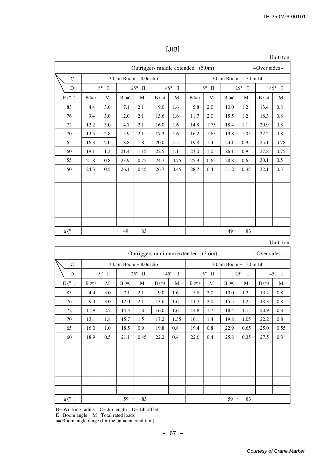|                |      |                     |                           |                     |                                   |                        |      |                     |                           |                        |                    | Unit: ton           |
|----------------|------|---------------------|---------------------------|---------------------|-----------------------------------|------------------------|------|---------------------|---------------------------|------------------------|--------------------|---------------------|
|                |      |                     |                           |                     | Outriggers middle extended (5.0m) |                        |      |                     |                           |                        | $-$ Over sides $-$ |                     |
| $\mathbf C$    |      |                     | $30.5m$ Boom + $8.0m$ Jib |                     |                                   |                        |      |                     | $30.5m$ Boom $+13.0m$ Jib |                        |                    |                     |
| D              |      | $5^\circ$<br>$\Box$ |                           | $25^{\circ}$ $\Box$ |                                   | $45^{\circ}$<br>$\Box$ |      | $5^\circ$<br>$\Box$ |                           | $25^{\circ}$<br>$\Box$ |                    | $45^{\circ}$ $\Box$ |
| $E(^{\circ})$  | B(m) | M                   | B(m)                      | M                   | B(m)                              | M                      | B(m) | M                   | B(m)                      | M                      | B(m)               | M                   |
| 83             | 4.4  | 3.0                 | 7.1                       | 2.1                 | 9.0                               | 1.6                    | 5.8  | 2.0                 | 10.0                      | 1.2                    | 13.4               | 0.8                 |
| 76             | 9.4  | 3.0                 | 12.0                      | 2.1                 | 13.6                              | 1.6                    | 11.7 | 2.0                 | 15.5                      | 1.2                    | 18.3               | 0.8                 |
| 72             | 12.2 | 3.0                 | 14.7                      | 2.1                 | 16.0                              | 1.6                    | 14.8 | 1.75                | 18.4                      | 1.1                    | 20.9               | 0.8                 |
| 70             | 13.5 | 2.8                 | 15.9                      | 2.1                 | 17.3                              | 1.6                    | 16.2 | 1.65                | 19.8                      | 1.05                   | 22.2               | 0.8                 |
| 65             | 16.3 | 2.0                 | 18.8                      | 1.8                 | 20.0                              | 1.5                    | 19.8 | 1.4                 | 23.1                      | 0.95                   | 25.1               | 0.78                |
| 60             | 19.1 | 1.3                 | 21.4                      | 1.15                | 22.5                              | 1.1                    | 23.0 | 1.0                 | 26.1                      | 0.9                    | 27.8               | 0.75                |
| 55             | 21.8 | 0.8                 | 23.9                      | 0.75                | 24.7                              | 0.75                   | 25.9 | 0.65                | 28.8                      | 0.6                    | 30.1               | 0.5                 |
| 50             | 24.3 | 0.5                 | 26.1                      | 0.45                | 26.7                              | 0.45                   | 28.7 | 0.4                 | 31.2                      | 0.35                   | 32.1               | 0.3                 |
|                |      |                     |                           |                     |                                   |                        |      |                     |                           |                        |                    |                     |
|                |      |                     |                           |                     |                                   |                        |      |                     |                           |                        |                    |                     |
|                |      |                     |                           |                     |                                   |                        |      |                     |                           |                        |                    |                     |
|                |      |                     |                           |                     |                                   |                        |      |                     |                           |                        |                    |                     |
|                |      |                     |                           |                     |                                   |                        |      |                     |                           |                        |                    |                     |
|                |      |                     |                           |                     |                                   |                        |      |                     |                           |                        |                    |                     |
| $a(^{\circ}$ ) |      |                     | $49 -$                    | 83                  |                                   |                        |      |                     | $49 -$                    | 83                     |                    |                     |

[JIB]

Unit:ton

|                | Outriggers minimum extended (3.6m)<br>$-$ Over sides $-$ |                     |                          |                     |      |                        |      |                     |                          |                    |                        |      |  |
|----------------|----------------------------------------------------------|---------------------|--------------------------|---------------------|------|------------------------|------|---------------------|--------------------------|--------------------|------------------------|------|--|
| $\mathbf C$    |                                                          |                     | $30.5m$ Boom $+8.0m$ Jib |                     |      |                        |      |                     | $30.5m$ Boom + 13.0m Jib |                    |                        |      |  |
| D              |                                                          | $5^\circ$<br>$\Box$ |                          | $25^{\circ}$<br>- 0 |      | $45^{\circ}$<br>$\Box$ |      | $5^\circ$<br>$\Box$ |                          | $25^{\circ}$<br>□□ | $45^{\circ}$<br>$\Box$ |      |  |
| $E(^{\circ})$  | B(m)                                                     | M                   | B(m)                     | M                   | B(m) | M                      | B(m) | M                   | B(m)                     | M                  | B(m)                   | M    |  |
| 83             | 4.4                                                      | 3.0                 | 7.1                      | 2.1                 | 9.0  | 1.6                    | 5.8  | 2.0                 | 10.0                     | 1.2                | 13.4                   | 0.8  |  |
| 76             | 9.4                                                      | 3.0                 | 12.0                     | 2.1                 | 13.6 | 1.6                    | 11.7 | 2.0                 | 15.5                     | 1.2                | 18.3                   | 0.8  |  |
| 72             | 11.9                                                     | 2.2                 | 14.5                     | 1.8                 | 16.0 | 1.6                    | 14.8 | 1.75                | 18.4                     | 1.1                | 20.9                   | 0.8  |  |
| 70             | 13.1                                                     | 1.8                 | 15.7                     | 1.5                 | 17.2 | 1.35                   | 16.1 | 1.4                 | 19.8                     | 1.05               | 22.2                   | 0.8  |  |
| 65             | 16.0                                                     | 1.0                 | 18.5                     | 0.9                 | 19.8 | 0.8                    | 19.4 | 0.8                 | 22.9                     | 0.65               | 25.0                   | 0.55 |  |
| 60             | 18.9                                                     | 0.5                 | 21.1                     | 0.45                | 22.2 | 0.4                    | 22.6 | 0.4                 | 25.8                     | 0.35               | 27.5                   | 0.3  |  |
|                |                                                          |                     |                          |                     |      |                        |      |                     |                          |                    |                        |      |  |
|                |                                                          |                     |                          |                     |      |                        |      |                     |                          |                    |                        |      |  |
|                |                                                          |                     |                          |                     |      |                        |      |                     |                          |                    |                        |      |  |
|                |                                                          |                     |                          |                     |      |                        |      |                     |                          |                    |                        |      |  |
|                |                                                          |                     |                          |                     |      |                        |      |                     |                          |                    |                        |      |  |
|                |                                                          |                     |                          |                     |      |                        |      |                     |                          |                    |                        |      |  |
| $a(^{\circ}$ ) |                                                          |                     | $59 -$                   | 83                  |      |                        |      |                     | $59 -$                   | 83                 |                        |      |  |

 $B=$  Working radius  $C=$  Jib length  $D=$  Jib offset E= Boom angle M= Total rated loads a= Boom angle range (for the unladen condition)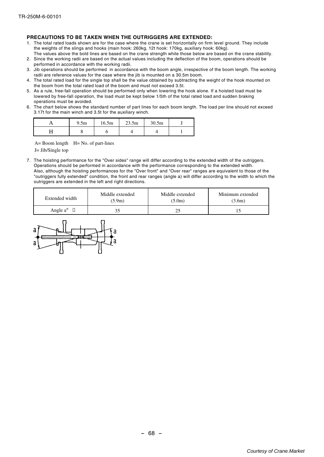#### **PRECAUTIONS TO BE TAKEN WHEN THE OUTRIGGERS ARE EXTENDED:**

- 1. The total rated loads shown are for the case where the crane is set horizontally on firm level ground. They include the weights of the slings and hooks (main hook: 260kg, 12t hook: 170kg, auxiliary hook: 60kg).
- The values above the bold lines are based on the crane strength while those below are based on the crane stability. 2. Since the working radii are based on the actual values including the deflection of the boom, operations should be performed in accordance with the working radii.
- 3. Jib operations should be performed in accordance with the boom angle, irrespective of the boom length. The working radii are reference values for the case where the jib is mounted on a 30.5m boom.
- 4. The total rated load for the single top shall be the value obtained by subtracting the weight of the hook mounted on the boom from the total rated load of the boom and must not exceed 3.5t.
- 5. As a rule, free-fall operation should be performed only when lowering the hook alone. If a hoisted load must be lowered by free-fall operation, the load must be kept below 1/5th of the total rated load and sudden braking operations must be avoided.
- 6. The chart below shows the standard number of part lines for each boom length. The load per line should not exceed 3.17t for the main winch and 3.5t for the auxiliary winch.

|                      | 9.5m | 16.5m | 23.5m | 30.5m |  |
|----------------------|------|-------|-------|-------|--|
| $\ddot{\phantom{0}}$ |      |       |       |       |  |

 $A=$  Boom length  $H=$  No. of part-lines

J= Jib/Single top

7. The hoisting performance for the "Over sides" range will differ according to the extended width of the outriggers. Operations should be performed in accordance with the performance corresponding to the extended width. Also, although the hoisting performances for the "Over front" and "Over rear" ranges are equivalent to those of the "outriggers fully extended" condition, the front and rear ranges (angle a) will differ according to the width to which the outriggers are extended in the left and right directions.

| Middle extended<br>Extended width<br>(5.9m) |    | Middle extended<br>(5.0m) | Minimum extended<br>(3.6m) |  |  |
|---------------------------------------------|----|---------------------------|----------------------------|--|--|
| Angle $a^{\circ}$ $\Box$                    | 35 |                           |                            |  |  |

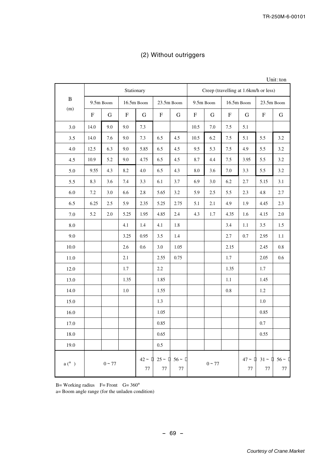|  |  | (2) Without outriggers |
|--|--|------------------------|
|--|--|------------------------|

|  | Unit:ton |
|--|----------|
|  |          |
|  |          |

|               | Stationary |           |      |            |      | Creep (travelling at 1.6km/h or less)                                                               |      |           |      |              |                            |     |
|---------------|------------|-----------|------|------------|------|-----------------------------------------------------------------------------------------------------|------|-----------|------|--------------|----------------------------|-----|
| $\, {\bf B}$  |            | 9.5m Boom |      | 16.5m Boom |      | 23.5m Boom                                                                                          |      | 9.5m Boom |      | $16.5m$ Boom | 23.5m Boom                 |     |
| (m)           | F          | G         | F    | G          | F    | G                                                                                                   | F    | G         | F    | G            | F                          | G   |
| 3.0           | 14.0       | 9.0       | 9.0  | 7.3        |      |                                                                                                     | 10.5 | 7.0       | 7.5  | 5.1          |                            |     |
| 3.5           | 14.0       | 7.6       | 9.0  | 7.3        | 6.5  | 4.5                                                                                                 | 10.5 | 6.2       | 7.5  | 5.1          | 5.5                        | 3.2 |
| 4.0           | 12.5       | 6.3       | 9.0  | 5.85       | 6.5  | 4.5                                                                                                 | 9.5  | 5.3       | 7.5  | 4.9          | 5.5                        | 3.2 |
| 4.5           | 10.9       | 5.2       | 9.0  | 4.75       | 6.5  | 4.5                                                                                                 | 8.7  | 4.4       | 7.5  | 3.95         | 5.5                        | 3.2 |
| 5.0           | 9.55       | 4.3       | 8.2  | 4.0        | 6.5  | 4.3                                                                                                 | 8.0  | 3.6       | 7.0  | 3.3          | 5.5                        | 3.2 |
| 5.5           | 8.3        | 3.6       | 7.4  | 3.3        | 6.1  | 3.7                                                                                                 | 6.9  | 3.0       | 6.2  | 2.7          | 5.15                       | 3.1 |
| 6.0           | 7.2        | 3.0       | 6.6  | 2.8        | 5.65 | 3.2                                                                                                 | 5.9  | 2.5       | 5.5  | 2.3          | 4.8                        | 2.7 |
| 6.5           | 6.25       | 2.5       | 5.9  | 2.35       | 5.25 | 2.75                                                                                                | 5.1  | 2.1       | 4.9  | 1.9          | 4.45                       | 2.3 |
| 7.0           | 5.2        | 2.0       | 5.25 | 1.95       | 4.85 | 2.4                                                                                                 | 4.3  | 1.7       | 4.35 | 1.6          | 4.15                       | 2.0 |
| 8.0           |            |           | 4.1  | 1.4        | 4.1  | 1.8                                                                                                 |      |           | 3.4  | 1.1          | 3.5                        | 1.5 |
| 9.0           |            |           | 3.25 | 0.95       | 3.5  | 1.4                                                                                                 |      |           | 2.7  | 0.7          | 2.95                       | 1.1 |
| 10.0          |            |           | 2.6  | 0.6        | 3.0  | 1.05                                                                                                |      |           | 2.15 |              | 2.45                       | 0.8 |
| 11.0          |            |           | 2.1  |            | 2.55 | 0.75                                                                                                |      |           | 1.7  |              | 2.05                       | 0.6 |
| 12.0          |            |           | 1.7  |            | 2.2  |                                                                                                     |      |           | 1.35 |              | 1.7                        |     |
| 13.0          |            |           | 1.35 |            | 1.85 |                                                                                                     |      |           | 1.1  |              | 1.45                       |     |
| 14.0          |            |           | 1.0  |            | 1.55 |                                                                                                     |      |           | 0.8  |              | 1.2                        |     |
| 15.0          |            |           |      |            | 1.3  |                                                                                                     |      |           |      |              | 1.0                        |     |
| 16.0          |            |           |      |            | 1.05 |                                                                                                     |      |           |      |              | 0.85                       |     |
| 17.0          |            |           |      |            | 0.85 |                                                                                                     |      |           |      |              | 0.7                        |     |
| 18.0          |            |           |      |            | 0.65 |                                                                                                     |      |           |      |              | 0.55                       |     |
| 19.0          |            |           |      |            | 0.5  |                                                                                                     |      |           |      |              |                            |     |
| $a(^{\circ})$ |            | $0 - 77$  |      | 77         | 77   | $42 \sim \begin{bmatrix} 1 & 25 \sim \begin{bmatrix} 1 & 56 \sim \end{bmatrix} \end{bmatrix}$<br>77 |      | $0 - 77$  |      | 77           | $47 - 131 - 156 - 1$<br>77 | 77  |

B= Working radius  $F =$  Front  $G = 360^\circ$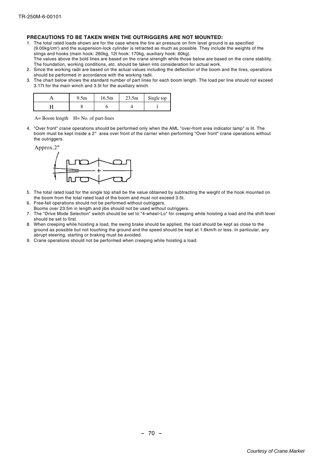#### **PRECAUTIONS TO BE TAKEN WHEN THE OUTRIGGERS ARE NOT MOUNTED:**

- 1. The total rated loads shown are for the case where the tire air pressure on firm level ground is as specified (9.00kg/cm<sup>2</sup> ) and the suspension-lock cylinder is retracted as much as possible. They include the weights of the slings and hooks (main hook: 260kg, 12t hook: 170kg, auxiliary hook: 60kg). The values above the bold lines are based on the crane strength while those below are based on the crane stability. The foundation, working conditions, etc. should be taken into consideration for actual work.
- 2. Since the working radii are based on the actual values including the deflection of the boom and the tires, operations should be performed in accordance with the working radii.
- 3. The chart below shows the standard number of part lines for each boom length. The load per line should not exceed 3.17t for the main winch and 3.5t for the auxiliary winch.

|   | 9.5 <sub>m</sub> | 16.5m | 23.5m | Single top |
|---|------------------|-------|-------|------------|
| _ |                  |       |       |            |

 $A=$  Boom length  $H=$  No. of part-lines

4. "Over front" crane operations should be performed only when the AML "over-front area indicator lamp" is lit. The boom must be kept inside a 2° area over front of the carrier when performing "Over front" crane operations without the outriggers.





- 5. The total rated load for the single top shall be the value obtained by subtracting the weight of the hook mounted on the boom from the total rated load of the boom and must not exceed 3.5t.
- 6. Free-fall operations should not be performed without outriggers.
- Booms over 23.5m in length and jibs should not be used without outriggers.
- 7. The "Drive Mode Selection" switch should be set to "4-wheel・Lo" for creeping while hoisting a load and the shift lever should be set to first.
- 8. When creeping while hoisting a load, the swing brake should be applied, the load should be kept as close to the ground as possible but not touching the ground and the speed should be kept at 1.6km/h or less. In particular, any abrupt steering, starting or braking must be avoided.
- 9. Crane operations should not be performed when creeping while hoisting a load.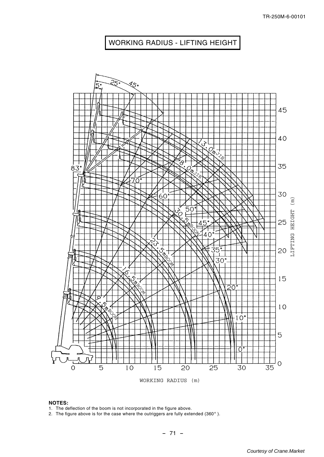## WORKING RADIUS - LIFTING HEIGHT



#### **NOTES:**

1. The deflection of the boom is not incorporated in the figure above.

2. The figure above is for the case where the outriggers are fully extended (360 $^{\circ}$  ).